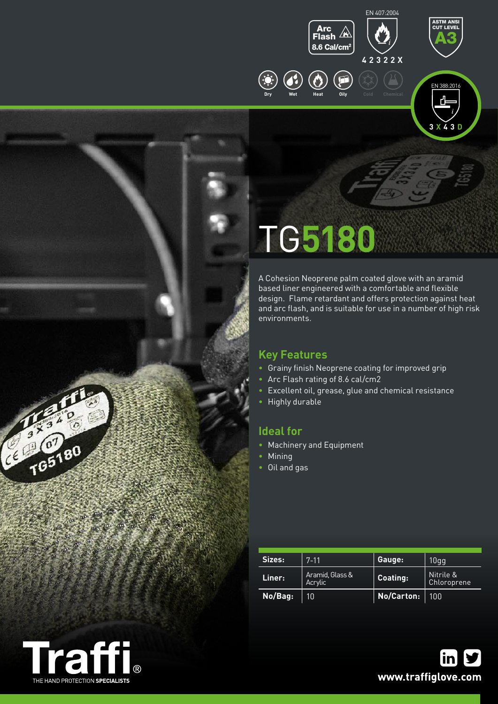



ASTM ANSI CUT LEVEL

**3 X 4 3 D**

# TG**5180**

A Cohesion Neoprene palm coated glove with an aramid based liner engineered with a comfortable and flexible design. Flame retardant and offers protection against heat and arc flash, and is suitable for use in a number of high risk environments.

## **Key Features**

- Grainy finish Neoprene coating for improved grip
- Arc Flash rating of 8.6 cal/cm2
- Excellent oil, grease, glue and chemical resistance
- Highly durable

## **Ideal for**

- Machinery and Equipment
- Mining
- Oil and gas

| Sizes:  | $7 - 11$                   | Gauge:     | 10 <sub>gg</sub>         |
|---------|----------------------------|------------|--------------------------|
| Liner:  | Aramid, Glass &<br>Acrylic | Coating:   | Nitrile &<br>Chloroprene |
| No/Bag: | 10                         | No/Carton: | 100                      |



CE 765180